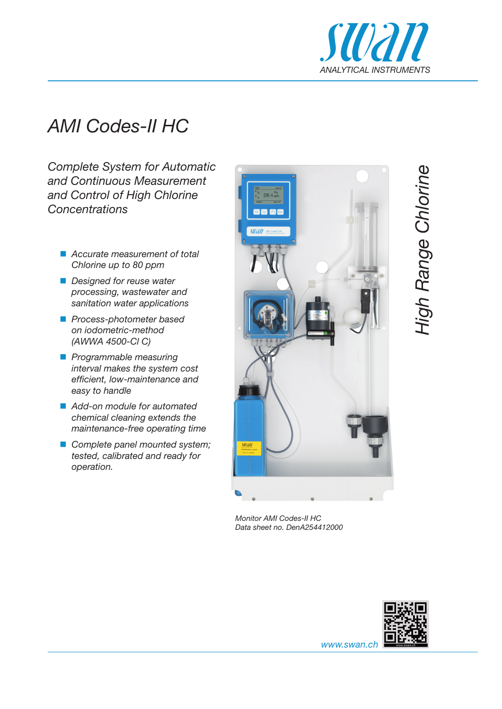

## *AMI Codes-II HC*

*Complete System for Automatic and Continuous Measurement and Control of High Chlorine Concentrations*

- *Accurate measurement of total Chlorine up to 80 ppm*
- *Designed for reuse water processing, wastewater and sanitation water applications*
- *Process-photometer based on iodometric-method (AWWA 4500-Cl C)*
- *Programmable measuring interval makes the system cost efficient, low-maintenance and easy to handle*
- *Add-on module for automated chemical cleaning extends the maintenance-free operating time*
- *Complete panel mounted system; tested, calibrated and ready for operation.*



*Monitor AMI Codes-II HC Data sheet no. DenA254412000*



*www.swan.ch*